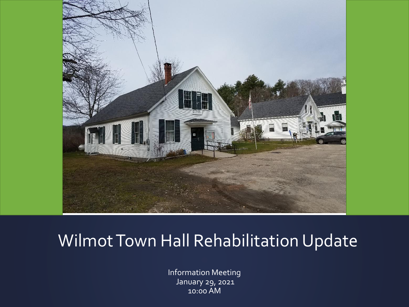

#### Wilmot Town Hall Rehabilitation Update

Information Meeting January 29, 2021 10:00 AM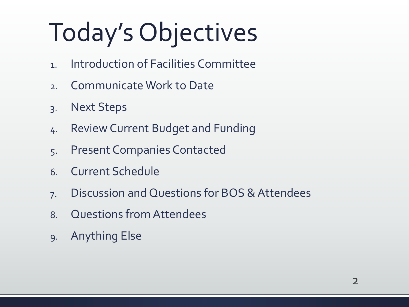## Today's Objectives

- 1. Introduction of Facilities Committee
- 2. Communicate Work to Date
- 3. Next Steps
- 4. Review Current Budget and Funding
- 5. Present Companies Contacted
- 6. Current Schedule
- 7. Discussion and Questions for BOS & Attendees
- 8. Questions from Attendees
- 9. Anything Else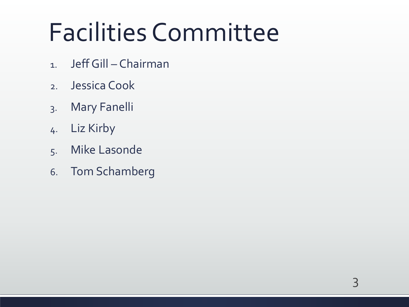## Facilities Committee

- 1. Jeff Gill Chairman
- 2. Jessica Cook
- 3. Mary Fanelli
- 4. Liz Kirby
- 5. Mike Lasonde
- 6. Tom Schamberg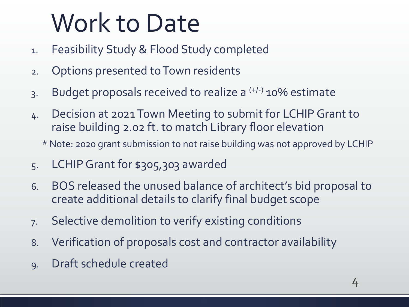## Work to Date

- 1. Feasibility Study & Flood Study completed
- 2. Options presented to Town residents
- 3. Budget proposals received to realize a <sup>(+/-)</sup> 10% estimate
- 4. Decision at 2021 Town Meeting to submit for LCHIP Grant to raise building 2.02 ft. to match Library floor elevation
	- \* Note: 2020 grant submission to not raise building was not approved by LCHIP
- 5. LCHIP Grant for \$305,303 awarded
- 6. BOS released the unused balance of architect's bid proposal to create additional details to clarify final budget scope
- 7. Selective demolition to verify existing conditions
- 8. Verification of proposals cost and contractor availability
- 9. Draft schedule created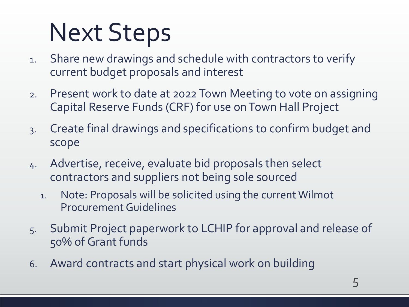## Next Steps

- 1. Share new drawings and schedule with contractors to verify current budget proposals and interest
- 2. Present work to date at 2022 Town Meeting to vote on assigning Capital Reserve Funds (CRF) for use on Town Hall Project
- 3. Create final drawings and specifications to confirm budget and scope
- 4. Advertise, receive, evaluate bid proposals then select contractors and suppliers not being sole sourced
	- 1. Note: Proposals will be solicited using the current Wilmot Procurement Guidelines
- 5. Submit Project paperwork to LCHIP for approval and release of 50% of Grant funds
- 6. Award contracts and start physical work on building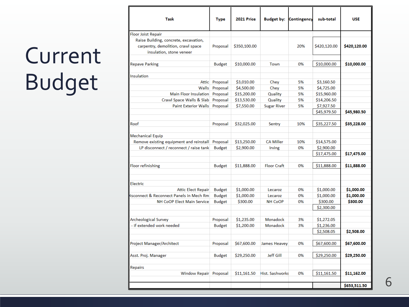### Current Budget

| Task                                                                                                    | <b>Type</b>    | <b>2021 Price</b> | <b>Budget by:</b>  | Contingency | sub-total    | <b>USE</b>   |
|---------------------------------------------------------------------------------------------------------|----------------|-------------------|--------------------|-------------|--------------|--------------|
| Floor Joist Repair                                                                                      |                |                   |                    |             |              |              |
| Raise Building, concrete, excavation,<br>carpentry, demolition, crawl space<br>insulation, stone veneer | Proposal       | \$350,100.00      |                    | 20%         | \$420,120.00 | \$420,120.00 |
| <b>Repave Parking</b>                                                                                   | <b>Budget</b>  | \$10,000.00       | Town               | 0%          | \$10,000.00  | \$10,000.00  |
| Insulation                                                                                              |                |                   |                    |             |              |              |
|                                                                                                         | Attic Proposal | \$3,010.00        | Chey               | 5%          | \$3,160.50   |              |
| Walls                                                                                                   | Proposal       | \$4,500.00        | Chey               | 5%          | \$4,725.00   |              |
| Main Floor Insulation                                                                                   | Proposal       | \$15,200.00       | Quality            | 5%          | \$15,960.00  |              |
| Crawl Space Walls & Slab                                                                                | Proposal       | \$13,530.00       | Quality            | 5%          | \$14,206.50  |              |
| <b>Paint Exterior Walls</b>                                                                             | Proposal       | \$7,550.00        | <b>Sugar River</b> | 5%          | \$7,927.50   |              |
|                                                                                                         |                |                   |                    |             | \$45,979.50  | \$45,980.50  |
| Roof                                                                                                    | Proposal       | \$32,025.00       | Sentry             | 10%         | \$35,227.50  | \$35,228.00  |
| Mechanical Equip                                                                                        |                |                   |                    |             |              |              |
| Remove existing equipment and reinstall                                                                 | Proposal       | \$13,250.00       | <b>CA Miller</b>   | 10%         | \$14,575.00  |              |
| LP disconnect / reconnect / raise tank                                                                  | <b>Budget</b>  | \$2,900.00        | Irving             | 0%          | \$2,900.00   |              |
|                                                                                                         |                |                   |                    |             | \$17,475.00  | \$17,475.00  |
| Floor refinishing                                                                                       | <b>Budget</b>  | \$11,888.00       | <b>Floor Craft</b> | 0%          | \$11,888.00  | \$11,888.00  |
| Electric                                                                                                |                |                   |                    |             |              |              |
| <b>Attic Elect Repair</b>                                                                               | <b>Budget</b>  | \$1,000.00        | Lecaroz            | 0%          | \$1,000.00   | \$1,000.00   |
| isconnect & Reconnect Panels in Mech Rm                                                                 | <b>Budget</b>  | \$1,000.00        | Lecaroz            | 0%          | \$1,000.00   | \$1,000.00   |
| <b>NH CoOP Elect Main Service</b>                                                                       | <b>Budget</b>  | \$300.00          | <b>NH CoOP</b>     | 0%          | \$300.00     | \$300.00     |
|                                                                                                         |                |                   |                    |             | \$2,300.00   |              |
| Archeological Survey                                                                                    | Proposal       | \$1,235.00        | Monadock           | 3%          | \$1,272.05   |              |
| - if extended work needed                                                                               | <b>Budget</b>  | \$1,200.00        | <b>Monadock</b>    | 3%          | \$1,236.00   |              |
|                                                                                                         |                |                   |                    |             | \$2,508.05   | \$2,508.00   |
| Project Manager/Architect                                                                               | Proposal       | \$67,600.00       | James Heavey       | 0%          | \$67,600.00  | \$67,600.00  |
| Asst. Proj. Manager                                                                                     | <b>Budget</b>  | \$29,250.00       | <b>Jeff Gill</b>   | 0%          | \$29,250.00  | \$29,250.00  |
|                                                                                                         |                |                   |                    |             |              |              |
| Repairs<br>Window Repair                                                                                | Proposal       | \$11,161.50       | Hist. Sashworks    | 0%          | \$11,161.50  | \$11,162.00  |
|                                                                                                         |                |                   |                    |             |              | \$653,511.50 |
|                                                                                                         |                |                   |                    |             |              |              |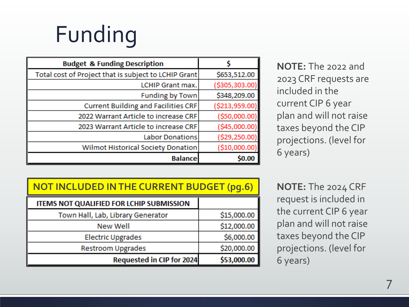## Funding

| <b>Budget &amp; Funding Description</b>              |                |
|------------------------------------------------------|----------------|
| Total cost of Project that is subject to LCHIP Grant | \$653,512.00   |
| <b>LCHIP Grant max.</b>                              | (\$305,303.00  |
| <b>Funding by Town</b>                               | \$348,209.00   |
| <b>Current Building and Facilities CRF</b>           | (\$213,959.00  |
| 2022 Warrant Article to increase CRF                 | (\$50,000.00   |
| 2023 Warrant Article to increase CRF                 | (\$45,000.00   |
| <b>Labor Donations</b>                               | (\$29,250.00   |
| Wilmot Historical Society Donation                   | ( \$10,000.00] |
| <b>Balance</b>                                       |                |

| NOTE: The 2022 and      |
|-------------------------|
| 2023 CRF requests are   |
| included in the         |
| current CIP 6 year      |
| plan and will not raise |
| taxes beyond the CIP    |
| projections. (level for |
| 6 years)                |

| <b>NOT INCLUDED IN THE CURRENT BUDGET (pg.6)</b> |             |  |
|--------------------------------------------------|-------------|--|
| ITEMS NOT QUALIFIED FOR LCHIP SUBMISSION         |             |  |
| Town Hall, Lab, Library Generator                | \$15,000.00 |  |
| <b>New Well</b>                                  | \$12,000.00 |  |
| <b>Electric Upgrades</b>                         | \$6,000.00  |  |
| <b>Restroom Upgrades</b>                         | \$20,000.00 |  |
| Requested in CIP for 2024                        | \$53,000.00 |  |

**NOTE:** The 2024 CRF request is included in the current CIP 6 year plan and will not raise taxes beyond the CIP projections. (level for 6 years)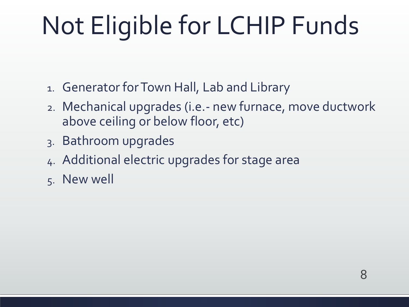## Not Eligible for LCHIP Funds

- 1. Generator for Town Hall, Lab and Library
- 2. Mechanical upgrades (i.e.- new furnace, move ductwork above ceiling or below floor, etc)
- 3. Bathroom upgrades
- 4. Additional electric upgrades for stage area
- 5. New well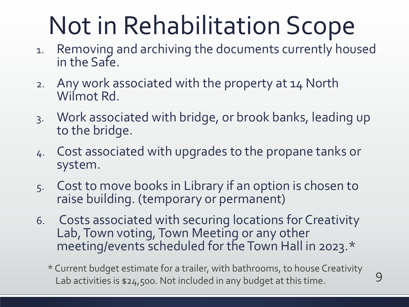## Not in Rehabilitation Scope

- 1. Removing and archiving the documents currently housed in the Safe.
- 2. Any work associated with the property at 14 North Wilmot Rd.
- 3. Work associated with bridge, or brook banks, leading up to the bridge.
- 4. Cost associated with upgrades to the propane tanks or system.
- 5. Cost to move books in Library if an option is chosen to raise building. (temporary or permanent)
- 6. Costs associated with securing locations for Creativity Lab, Town voting, Town Meeting or any other meeting/events scheduled for the Town Hall in 2023.\*
	- \* Current budget estimate for a trailer, with bathrooms, to house Creativity Lab activities is \$24,500. Not included in any budget at this time.

9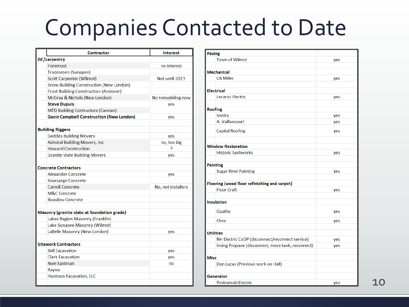#### Companies Contacted to Date

| <b>Contractor</b>                               | <b>Interest</b>    |
|-------------------------------------------------|--------------------|
| GC/carpentry                                    |                    |
| Foremost                                        | no interest        |
| Tradesmen (Sunapee)                             |                    |
| <b>Scott Carpenter (Wilmot)</b>                 | Not until 2023     |
| <b>Snow Building Construction (New London)</b>  |                    |
| <b>Frost Building Construction (Andover)</b>    |                    |
| McGray & Nichols (New London)                   | No remodeling now  |
| <b>Steve Dupuis</b>                             | yes                |
| <b>MTD Building Contractors (Cannan)</b>        |                    |
| <b>Gavin Campbell Construction (New London)</b> | yes                |
|                                                 |                    |
| <b>Building Riggers</b>                         |                    |
| <b>Geddes Building Movers</b>                   | yes                |
| <b>Admiral Building Movers, Inc.</b>            | no, too big        |
| <b>Howard Construction</b>                      | 7                  |
| <b>Granite State Building Movers</b>            | yes                |
|                                                 |                    |
| <b>Concrete Contractors</b>                     |                    |
| <b>Alexander Concrete</b>                       | yes                |
| <b>Kearsarge Concrete</b>                       |                    |
| <b>Carroll Concrete</b>                         | No, not installers |
| <b>M&amp;C Concrete</b>                         |                    |
| <b>Beaulieu Concrete</b>                        |                    |
|                                                 |                    |
| Masonry (granite slabs at foundation grade)     |                    |
| Lakes Region Masonry (Franklin)                 |                    |
| Lake Sunapee Masonry (Wilmot)                   |                    |
| LaBelle Masonry (New London)                    | yes                |
|                                                 |                    |
| Sitework Contractors                            |                    |
| <b>Bell Excavation</b>                          | yes                |
| <b>Clark Excavation</b>                         | yes                |
| <b>Noel Eastman</b>                             | no                 |
| Rayno                                           |                    |
| <b>Huntoon Excavation, LLC</b>                  |                    |
|                                                 |                    |

| <b>Paving</b>                                     |     |
|---------------------------------------------------|-----|
| <b>Town of Wilmot</b>                             | yes |
|                                                   |     |
| <b>Mechanical</b>                                 |     |
| <b>CA Miller</b>                                  | yes |
|                                                   |     |
| <b>Electrical</b>                                 |     |
| Lecaroz Electric                                  | yes |
|                                                   |     |
| <b>Roofing</b>                                    |     |
| <b>Sentry</b>                                     | yes |
| A. Vaillancourt                                   | yes |
| <b>Capital Roofing</b>                            | yes |
|                                                   |     |
| <b>Window Restoration</b>                         |     |
| <b>Historic Sashworks</b>                         | yes |
|                                                   |     |
| <b>Painting</b>                                   |     |
| <b>Sugar River Painting</b>                       | yes |
|                                                   |     |
| Flooring (wood floor refinishing and carpet)      |     |
| <b>Floor Craft</b>                                | yes |
|                                                   |     |
| <b>Insulation</b>                                 |     |
| Quality                                           | yes |
|                                                   |     |
| Chey                                              | yes |
|                                                   |     |
| <b>Utilities</b>                                  |     |
| NH Electric CoOP (disconnect/reconnect service)   | yes |
| Irving Propane (disconnect, move tank, reconnect) | yes |
| <b>Misc</b>                                       |     |
| Don Lucas (Previous work on Hall)                 |     |
|                                                   |     |
| Generator                                         |     |
| Yestramski Electric                               | yes |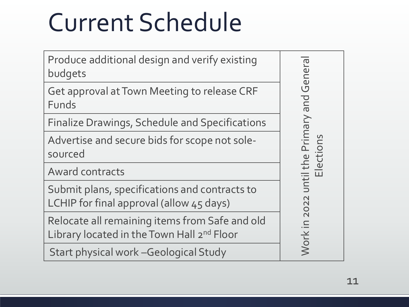## Current Schedule

| Produce additional design and verify existing<br>budgets                                                 | Genera                         |
|----------------------------------------------------------------------------------------------------------|--------------------------------|
| Get approval at Town Meeting to release CRF<br>Funds                                                     | bue                            |
| Finalize Drawings, Schedule and Specifications                                                           |                                |
| Advertise and secure bids for scope not sole-<br>sourced                                                 | until the Primary<br>Elections |
| <b>Award contracts</b>                                                                                   |                                |
| Submit plans, specifications and contracts to<br>LCHIP for final approval (allow 45 days)                | 202                            |
| Relocate all remaining items from Safe and old<br>Library located in the Town Hall 2 <sup>nd</sup> Floor | Work                           |
| Start physical work - Geological Study                                                                   |                                |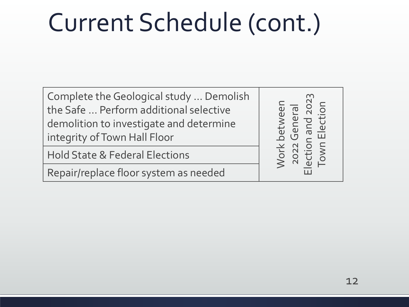Complete the Geological study … Demolish the Safe … Perform additional selective demolition to investigate and determine integrity of Town Hall Floor

Hold State & Federal Elections

Repair/replace floor system as needed

Work between 2022 General Election and 2023 Work between<br>2022 General<br>Election and 2023<br>Town Election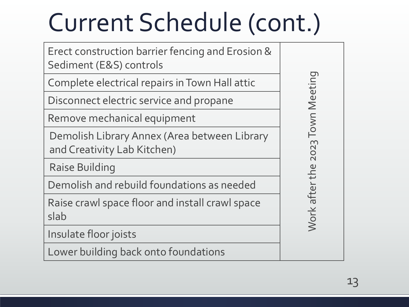Erect construction barrier fencing and Erosion & Sediment (E&S) controls

Complete electrical repairs in Town Hall attic

Disconnect electric service and propane

Remove mechanical equipment

Demolish Library Annex (Area between Library and Creativity Lab Kitchen)

Raise Building

Demolish and rebuild foundations as needed

Raise crawl space floor and install crawl space slab

Insulate floor joists

Lower building back onto foundations

Work after the 2023 Town Meeting Work after the 2023 Town Meeting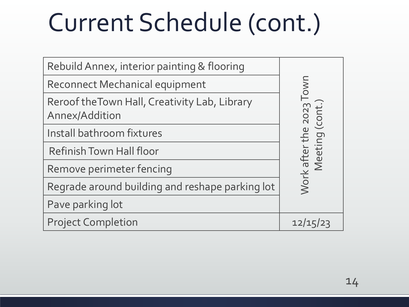| Rebuild Annex, interior painting & flooring                     |                                        |
|-----------------------------------------------------------------|----------------------------------------|
| <b>Reconnect Mechanical equipment</b>                           | <b>UMO</b>                             |
| Reroof the Town Hall, Creativity Lab, Library<br>Annex/Addition | Work after the 2023<br>Meeting (cont.) |
| Install bathroom fixtures                                       |                                        |
| <b>Refinish Town Hall floor</b>                                 |                                        |
| Remove perimeter fencing                                        |                                        |
| Regrade around building and reshape parking lot                 |                                        |
| Pave parking lot                                                |                                        |
| <b>Project Completion</b>                                       | 12/15/23                               |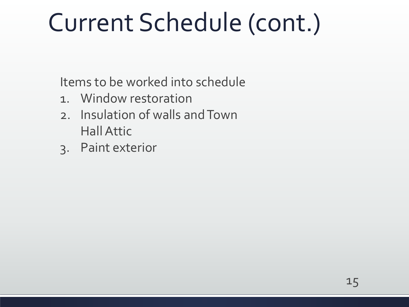Items to be worked into schedule

- 1. Window restoration
- 2. Insulation of walls and Town Hall Attic
- 3. Paint exterior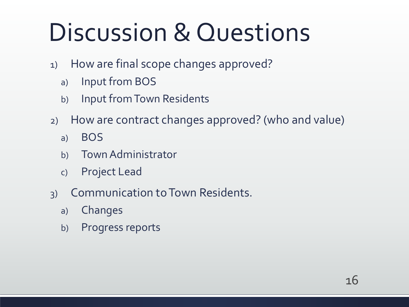## Discussion & Questions

- 1) How are final scope changes approved?
	- a) Input from BOS
	- b) Input from Town Residents
- 2) How are contract changes approved? (who and value)
	- a) BOS
	- b) Town Administrator
	- c) Project Lead
- 3) Communication to Town Residents.
	- a) Changes
	- b) Progress reports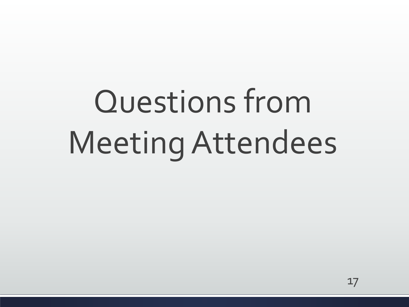# Questions from Meeting Attendees